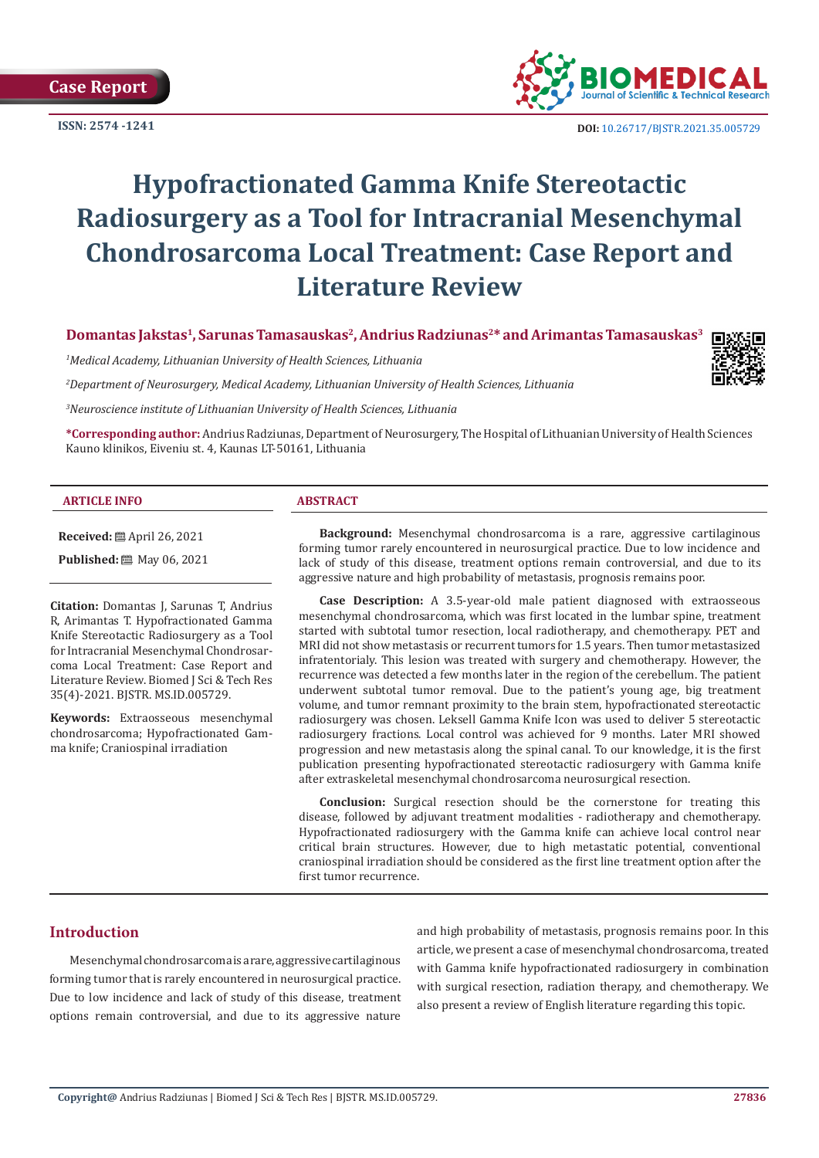**Case Report**

**ISSN: 2574 -1241**



 **DOI:** [10.26717/BJSTR.2021.35.005729](http://dx.doi.org/10.26717/BJSTR.2021.35.005729)

# **Hypofractionated Gamma Knife Stereotactic Radiosurgery as a Tool for Intracranial Mesenchymal Chondrosarcoma Local Treatment: Case Report and Literature Review**

**Domantas Jakstas1, Sarunas Tamasauskas2, Andrius Radziunas2\* and Arimantas Tamasauskas3**

*1 Medical Academy, Lithuanian University of Health Sciences, Lithuania*

*2 Department of Neurosurgery, Medical Academy, Lithuanian University of Health Sciences, Lithuania*



**\*Corresponding author:** Andrius Radziunas, Department of Neurosurgery, The Hospital of Lithuanian University of Health Sciences Kauno klinikos, Eiveniu st. 4, Kaunas LT-50161, Lithuania

#### **ARTICLE INFO ABSTRACT**

**Received:** April 26, 2021

**Published:** 圖 May 06, 2021

**Citation:** Domantas J, Sarunas T, Andrius R, Arimantas T. Hypofractionated Gamma Knife Stereotactic Radiosurgery as a Tool for Intracranial Mesenchymal Chondrosarcoma Local Treatment: Case Report and Literature Review. Biomed J Sci & Tech Res 35(4)-2021. BJSTR. MS.ID.005729.

**Keywords:** Extraosseous mesenchymal chondrosarcoma; Hypofractionated Gamma knife; Craniospinal irradiation

**Background:** Mesenchymal chondrosarcoma is a rare, aggressive cartilaginous forming tumor rarely encountered in neurosurgical practice. Due to low incidence and lack of study of this disease, treatment options remain controversial, and due to its aggressive nature and high probability of metastasis, prognosis remains poor.

**Case Description:** A 3.5-year-old male patient diagnosed with extraosseous mesenchymal chondrosarcoma, which was first located in the lumbar spine, treatment started with subtotal tumor resection, local radiotherapy, and chemotherapy. PET and MRI did not show metastasis or recurrent tumors for 1.5 years. Then tumor metastasized infratentorialy. This lesion was treated with surgery and chemotherapy. However, the recurrence was detected a few months later in the region of the cerebellum. The patient underwent subtotal tumor removal. Due to the patient's young age, big treatment volume, and tumor remnant proximity to the brain stem, hypofractionated stereotactic radiosurgery was chosen. Leksell Gamma Knife Icon was used to deliver 5 stereotactic radiosurgery fractions. Local control was achieved for 9 months. Later MRI showed progression and new metastasis along the spinal canal. To our knowledge, it is the first publication presenting hypofractionated stereotactic radiosurgery with Gamma knife after extraskeletal mesenchymal chondrosarcoma neurosurgical resection.

**Conclusion:** Surgical resection should be the cornerstone for treating this disease, followed by adjuvant treatment modalities - radiotherapy and chemotherapy. Hypofractionated radiosurgery with the Gamma knife can achieve local control near critical brain structures. However, due to high metastatic potential, conventional craniospinal irradiation should be considered as the first line treatment option after the first tumor recurrence.

# **Introduction**

Mesenchymal chondrosarcoma is a rare, aggressive cartilaginous forming tumor that is rarely encountered in neurosurgical practice. Due to low incidence and lack of study of this disease, treatment options remain controversial, and due to its aggressive nature

and high probability of metastasis, prognosis remains poor. In this article, we present a case of mesenchymal chondrosarcoma, treated with Gamma knife hypofractionated radiosurgery in combination with surgical resection, radiation therapy, and chemotherapy. We also present a review of English literature regarding this topic.

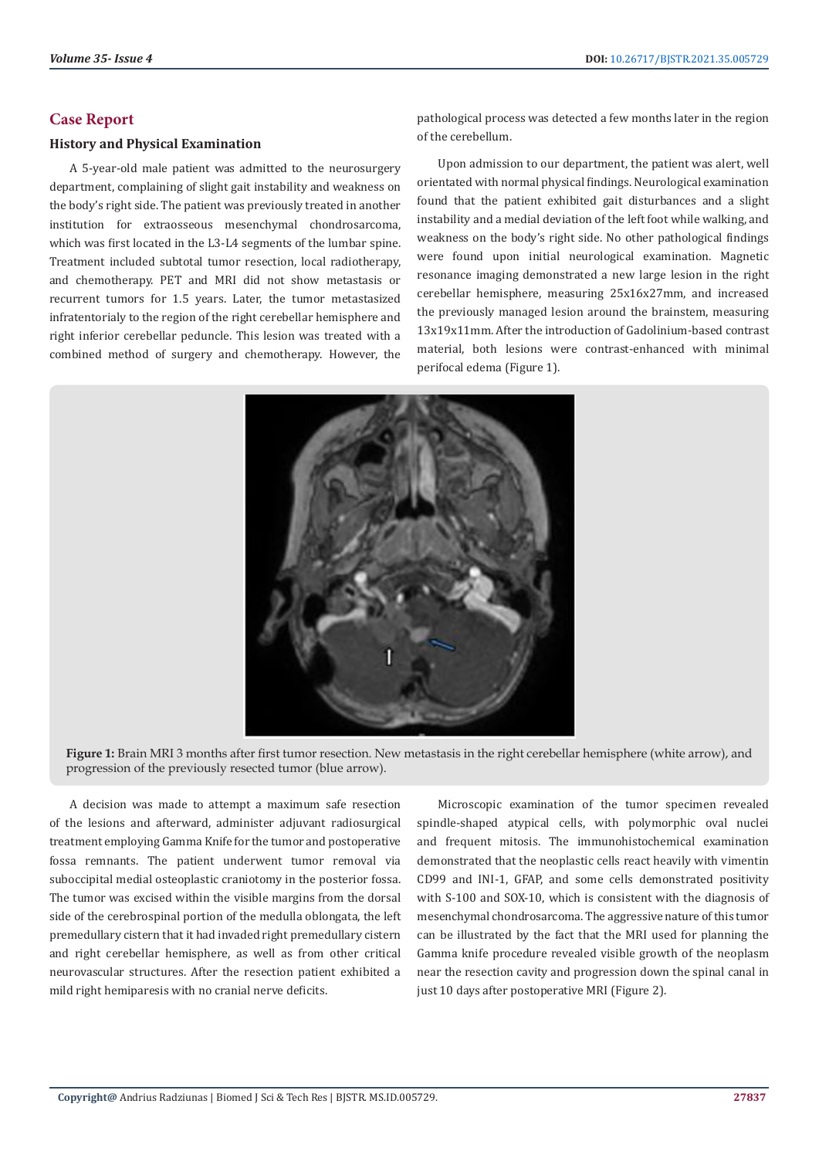# **Case Report**

# **History and Physical Examination**

A 5-year-old male patient was admitted to the neurosurgery department, complaining of slight gait instability and weakness on the body's right side. The patient was previously treated in another institution for extraosseous mesenchymal chondrosarcoma, which was first located in the L3-L4 segments of the lumbar spine. Treatment included subtotal tumor resection, local radiotherapy, and chemotherapy. PET and MRI did not show metastasis or recurrent tumors for 1.5 years. Later, the tumor metastasized infratentorialy to the region of the right cerebellar hemisphere and right inferior cerebellar peduncle. This lesion was treated with a combined method of surgery and chemotherapy. However, the pathological process was detected a few months later in the region of the cerebellum.

Upon admission to our department, the patient was alert, well orientated with normal physical findings. Neurological examination found that the patient exhibited gait disturbances and a slight instability and a medial deviation of the left foot while walking, and weakness on the body's right side. No other pathological findings were found upon initial neurological examination. Magnetic resonance imaging demonstrated a new large lesion in the right cerebellar hemisphere, measuring 25x16x27mm, and increased the previously managed lesion around the brainstem, measuring 13x19x11mm. After the introduction of Gadolinium-based contrast material, both lesions were contrast-enhanced with minimal perifocal edema (Figure 1).



**Figure 1:** Brain MRI 3 months after first tumor resection. New metastasis in the right cerebellar hemisphere (white arrow), and progression of the previously resected tumor (blue arrow).

A decision was made to attempt a maximum safe resection of the lesions and afterward, administer adjuvant radiosurgical treatment employing Gamma Knife for the tumor and postoperative fossa remnants. The patient underwent tumor removal via suboccipital medial osteoplastic craniotomy in the posterior fossa. The tumor was excised within the visible margins from the dorsal side of the cerebrospinal portion of the medulla oblongata, the left premedullary cistern that it had invaded right premedullary cistern and right cerebellar hemisphere, as well as from other critical neurovascular structures. After the resection patient exhibited a mild right hemiparesis with no cranial nerve deficits.

Microscopic examination of the tumor specimen revealed spindle-shaped atypical cells, with polymorphic oval nuclei and frequent mitosis. The immunohistochemical examination demonstrated that the neoplastic cells react heavily with vimentin CD99 and INI-1, GFAP, and some cells demonstrated positivity with S-100 and SOX-10, which is consistent with the diagnosis of mesenchymal chondrosarcoma. The aggressive nature of this tumor can be illustrated by the fact that the MRI used for planning the Gamma knife procedure revealed visible growth of the neoplasm near the resection cavity and progression down the spinal canal in just 10 days after postoperative MRI (Figure 2).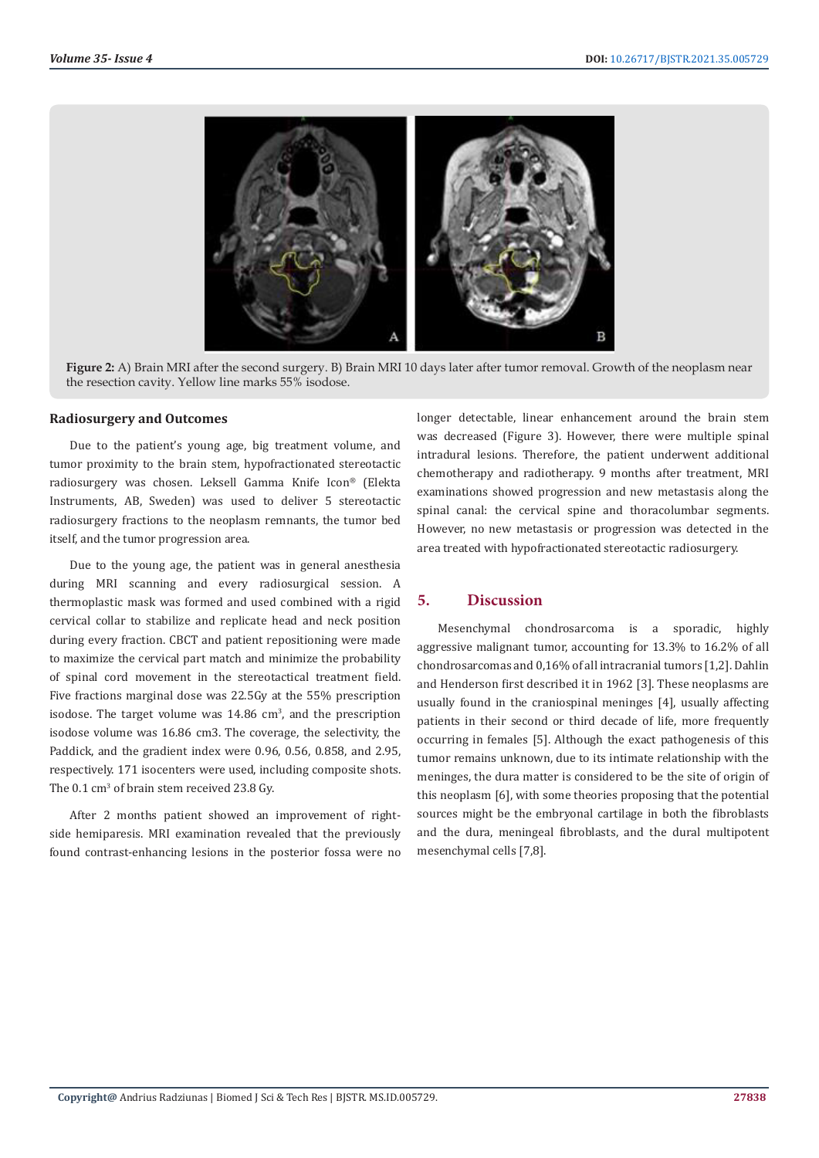

**Figure 2:** A) Brain MRI after the second surgery. B) Brain MRI 10 days later after tumor removal. Growth of the neoplasm near the resection cavity. Yellow line marks 55% isodose.

## **Radiosurgery and Outcomes**

Due to the patient's young age, big treatment volume, and tumor proximity to the brain stem, hypofractionated stereotactic radiosurgery was chosen. Leksell Gamma Knife Icon® (Elekta Instruments, AB, Sweden) was used to deliver 5 stereotactic radiosurgery fractions to the neoplasm remnants, the tumor bed itself, and the tumor progression area.

Due to the young age, the patient was in general anesthesia during MRI scanning and every radiosurgical session. A thermoplastic mask was formed and used combined with a rigid cervical collar to stabilize and replicate head and neck position during every fraction. CBCT and patient repositioning were made to maximize the cervical part match and minimize the probability of spinal cord movement in the stereotactical treatment field. Five fractions marginal dose was 22.5Gy at the 55% prescription isodose. The target volume was  $14.86 \text{ cm}^3$ , and the prescription isodose volume was 16.86 cm3. The coverage, the selectivity, the Paddick, and the gradient index were 0.96, 0.56, 0.858, and 2.95, respectively. 171 isocenters were used, including composite shots. The  $0.1 \text{ cm}^3$  of brain stem received 23.8 Gy.

After 2 months patient showed an improvement of rightside hemiparesis. MRI examination revealed that the previously found contrast-enhancing lesions in the posterior fossa were no longer detectable, linear enhancement around the brain stem was decreased (Figure 3). However, there were multiple spinal intradural lesions. Therefore, the patient underwent additional chemotherapy and radiotherapy. 9 months after treatment, MRI examinations showed progression and new metastasis along the spinal canal: the cervical spine and thoracolumbar segments. However, no new metastasis or progression was detected in the area treated with hypofractionated stereotactic radiosurgery.

# **5. Discussion**

Mesenchymal chondrosarcoma is a sporadic, highly aggressive malignant tumor, accounting for 13.3% to 16.2% of all chondrosarcomas and 0,16% of all intracranial tumors [1,2]. Dahlin and Henderson first described it in 1962 [3]. These neoplasms are usually found in the craniospinal meninges [4], usually affecting patients in their second or third decade of life, more frequently occurring in females [5]. Although the exact pathogenesis of this tumor remains unknown, due to its intimate relationship with the meninges, the dura matter is considered to be the site of origin of this neoplasm [6], with some theories proposing that the potential sources might be the embryonal cartilage in both the fibroblasts and the dura, meningeal fibroblasts, and the dural multipotent mesenchymal cells [7,8].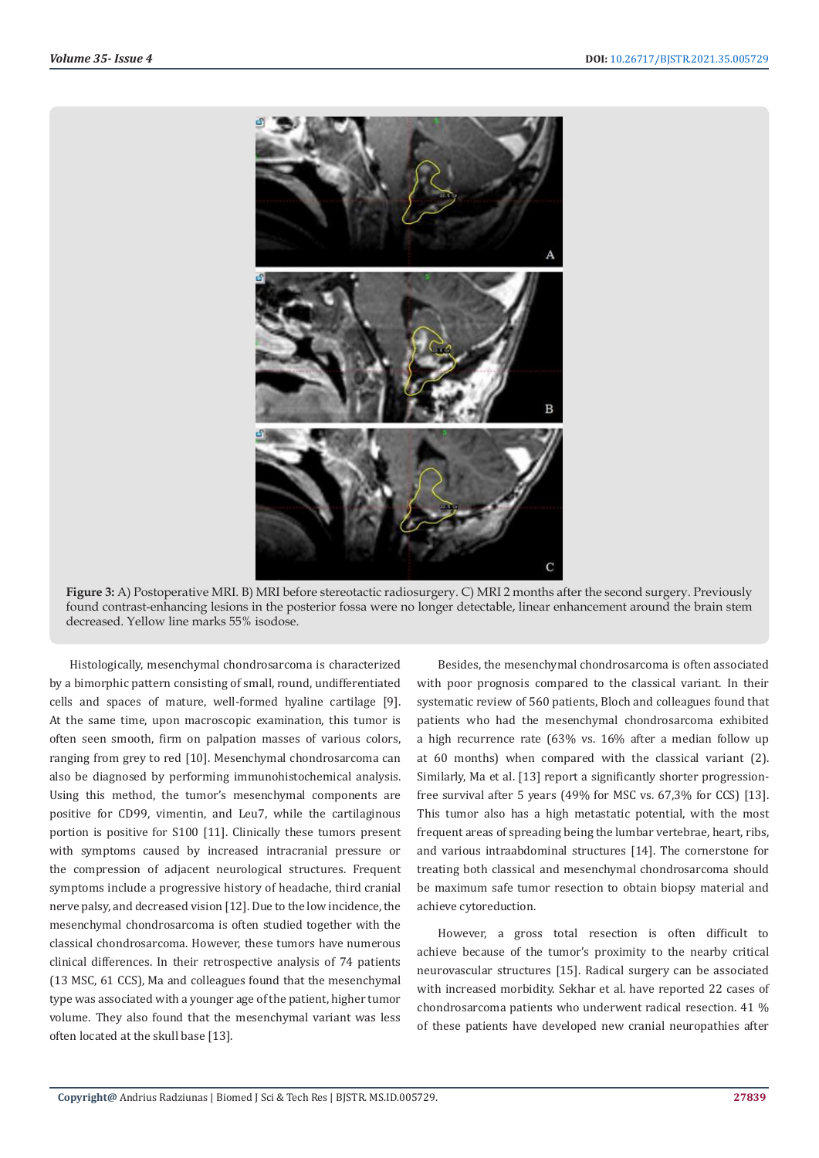

**Figure 3:** A) Postoperative MRI. B) MRI before stereotactic radiosurgery. C) MRI 2 months after the second surgery. Previously found contrast-enhancing lesions in the posterior fossa were no longer detectable, linear enhancement around the brain stem decreased. Yellow line marks 55% isodose.

Histologically, mesenchymal chondrosarcoma is characterized by a bimorphic pattern consisting of small, round, undifferentiated cells and spaces of mature, well-formed hyaline cartilage [9]. At the same time, upon macroscopic examination, this tumor is often seen smooth, firm on palpation masses of various colors, ranging from grey to red [10]. Mesenchymal chondrosarcoma can also be diagnosed by performing immunohistochemical analysis. Using this method, the tumor's mesenchymal components are positive for CD99, vimentin, and Leu7, while the cartilaginous portion is positive for S100 [11]. Clinically these tumors present with symptoms caused by increased intracranial pressure or the compression of adjacent neurological structures. Frequent symptoms include a progressive history of headache, third cranial nerve palsy, and decreased vision [12]. Due to the low incidence, the mesenchymal chondrosarcoma is often studied together with the classical chondrosarcoma. However, these tumors have numerous clinical differences. In their retrospective analysis of 74 patients (13 MSC, 61 CCS), Ma and colleagues found that the mesenchymal type was associated with a younger age of the patient, higher tumor volume. They also found that the mesenchymal variant was less often located at the skull base [13].

Besides, the mesenchymal chondrosarcoma is often associated with poor prognosis compared to the classical variant. In their systematic review of 560 patients, Bloch and colleagues found that patients who had the mesenchymal chondrosarcoma exhibited a high recurrence rate (63% vs. 16% after a median follow up at 60 months) when compared with the classical variant (2). Similarly, Ma et al. [13] report a significantly shorter progressionfree survival after 5 years (49% for MSC vs. 67,3% for CCS) [13]. This tumor also has a high metastatic potential, with the most frequent areas of spreading being the lumbar vertebrae, heart, ribs, and various intraabdominal structures [14]. The cornerstone for treating both classical and mesenchymal chondrosarcoma should be maximum safe tumor resection to obtain biopsy material and achieve cytoreduction.

However, a gross total resection is often difficult to achieve because of the tumor's proximity to the nearby critical neurovascular structures [15]. Radical surgery can be associated with increased morbidity. Sekhar et al. have reported 22 cases of chondrosarcoma patients who underwent radical resection. 41 % of these patients have developed new cranial neuropathies after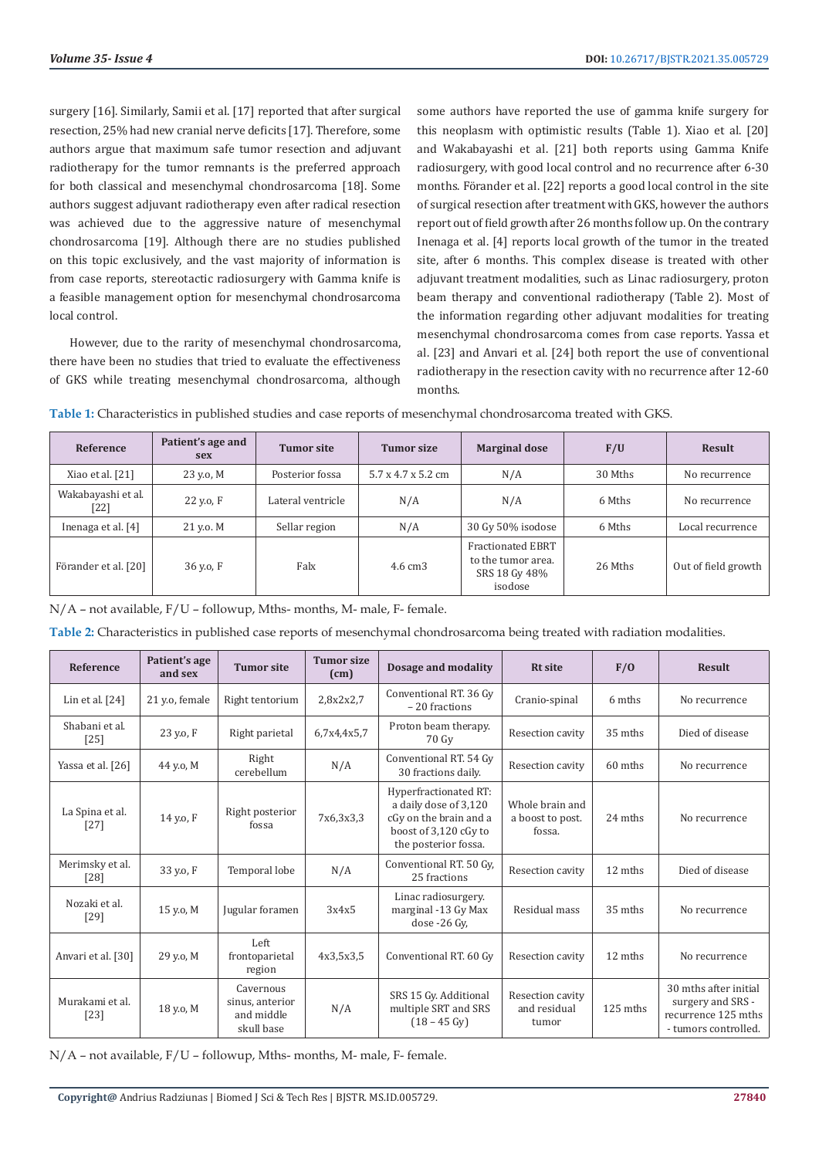surgery [16]. Similarly, Samii et al. [17] reported that after surgical resection, 25% had new cranial nerve deficits [17]. Therefore, some authors argue that maximum safe tumor resection and adjuvant radiotherapy for the tumor remnants is the preferred approach for both classical and mesenchymal chondrosarcoma [18]. Some authors suggest adjuvant radiotherapy even after radical resection was achieved due to the aggressive nature of mesenchymal chondrosarcoma [19]. Although there are no studies published on this topic exclusively, and the vast majority of information is from case reports, stereotactic radiosurgery with Gamma knife is a feasible management option for mesenchymal chondrosarcoma local control.

However, due to the rarity of mesenchymal chondrosarcoma, there have been no studies that tried to evaluate the effectiveness of GKS while treating mesenchymal chondrosarcoma, although some authors have reported the use of gamma knife surgery for this neoplasm with optimistic results (Table 1). Xiao et al. [20] and Wakabayashi et al. [21] both reports using Gamma Knife radiosurgery, with good local control and no recurrence after 6-30 months. Förander et al. [22] reports a good local control in the site of surgical resection after treatment with GKS, however the authors report out of field growth after 26 months follow up. On the contrary Inenaga et al. [4] reports local growth of the tumor in the treated site, after 6 months. This complex disease is treated with other adjuvant treatment modalities, such as Linac radiosurgery, proton beam therapy and conventional radiotherapy (Table 2). Most of the information regarding other adjuvant modalities for treating mesenchymal chondrosarcoma comes from case reports. Yassa et al. [23] and Anvari et al. [24] both report the use of conventional radiotherapy in the resection cavity with no recurrence after 12-60 months.

| Table 1: Characteristics in published studies and case reports of mesenchymal chondrosarcoma treated with GKS. |  |  |
|----------------------------------------------------------------------------------------------------------------|--|--|
|----------------------------------------------------------------------------------------------------------------|--|--|

| Reference                  | Patient's age and<br><b>sex</b> | <b>Tumor site</b> | <b>Tumor size</b>              | <b>Marginal dose</b>                                                | F/U     | <b>Result</b>       |
|----------------------------|---------------------------------|-------------------|--------------------------------|---------------------------------------------------------------------|---------|---------------------|
| Xiao et al. [21]           | 23 y.o, M                       | Posterior fossa   | $5.7 \times 4.7 \times 5.2$ cm | N/A                                                                 | 30 Mths | No recurrence       |
| Wakabayashi et al.<br>[22] | 22 y.o. F                       | Lateral ventricle | N/A                            | N/A                                                                 | 6 Mths  | No recurrence       |
| Inenaga et al. [4]         | 21 v.o. M                       | Sellar region     | N/A                            | 30 Gy 50% isodose                                                   | 6 Mths  | Local recurrence    |
| Förander et al. [20]       | 36 y.o, F                       | Falx              | 4.6 cm <sub>3</sub>            | Fractionated EBRT<br>to the tumor area.<br>SRS 18 Gy 48%<br>isodose | 26 Mths | Out of field growth |

N/A – not available, F/U – followup, Mths- months, M- male, F- female.

| Table 2: Characteristics in published case reports of mesenchymal chondrosarcoma being treated with radiation modalities. |  |  |  |  |  |
|---------------------------------------------------------------------------------------------------------------------------|--|--|--|--|--|
|---------------------------------------------------------------------------------------------------------------------------|--|--|--|--|--|

| Reference                 | Patient's age<br>and sex | <b>Tumor site</b>                                        | <b>Tumor size</b><br>(cm) | Dosage and modality                                                                                                       | <b>Rt</b> site                                | F/O      | <b>Result</b>                                                                             |
|---------------------------|--------------------------|----------------------------------------------------------|---------------------------|---------------------------------------------------------------------------------------------------------------------------|-----------------------------------------------|----------|-------------------------------------------------------------------------------------------|
| Lin et al. $[24]$         | 21 y.o, female           | Right tentorium                                          | 2,8x2x2,7                 | Conventional RT. 36 Gy<br>-20 fractions                                                                                   | Cranio-spinal                                 | 6 mths   | No recurrence                                                                             |
| Shabani et al.<br>$[25]$  | 23 y.o, F                | Right parietal                                           | 6,7x4,4x5,7               | Proton beam therapy.<br>70 Gv                                                                                             | Resection cavity                              | 35 mths  | Died of disease                                                                           |
| Yassa et al. [26]         | 44 y.o, M                | Right<br>cerebellum                                      | N/A                       | Conventional RT. 54 Gy<br>30 fractions daily.                                                                             | Resection cavity                              | 60 mths  | No recurrence                                                                             |
| La Spina et al.<br>$[27]$ | 14 y.o, F                | Right posterior<br>fossa                                 | 7x6,3x3,3                 | Hyperfractionated RT:<br>a daily dose of 3,120<br>cGy on the brain and a<br>boost of 3,120 cGy to<br>the posterior fossa. | Whole brain and<br>a boost to post.<br>fossa. | 24 mths  | No recurrence                                                                             |
| Merimsky et al.<br>[28]   | 33 y.o, F                | Temporal lobe                                            | N/A                       | Conventional RT. 50 Gy,<br>25 fractions                                                                                   | Resection cavity                              | 12 mths  | Died of disease                                                                           |
| Nozaki et al.<br>$[29]$   | 15 y.o, M                | Jugular foramen                                          | 3x4x5                     | Linac radiosurgery.<br>marginal -13 Gy Max<br>dose -26 Gv.                                                                | Residual mass                                 | 35 mths  | No recurrence                                                                             |
| Anvari et al. [30]        | 29 v.o. M                | Left<br>frontoparietal<br>region                         | 4x3,5x3,5                 | Conventional RT. 60 Gy                                                                                                    | Resection cavity                              | 12 mths  | No recurrence                                                                             |
| Murakami et al.<br>[23]   | 18 y.o, M                | Cavernous<br>sinus, anterior<br>and middle<br>skull base | N/A                       | SRS 15 Gy. Additional<br>multiple SRT and SRS<br>$(18 - 45 \text{ Gy})$                                                   | Resection cavity<br>and residual<br>tumor     | 125 mths | 30 mths after initial<br>surgery and SRS -<br>recurrence 125 mths<br>- tumors controlled. |

N/A – not available, F/U – followup, Mths- months, M- male, F- female.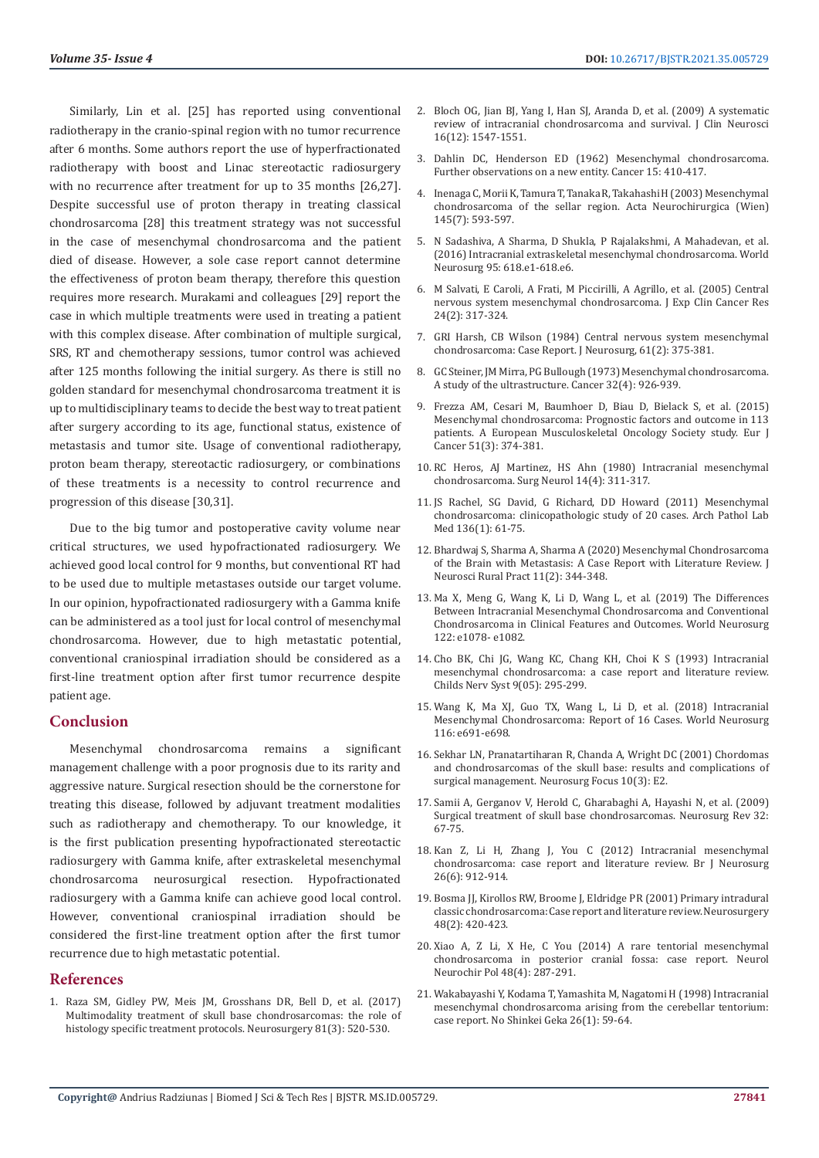Similarly, Lin et al. [25] has reported using conventional radiotherapy in the cranio-spinal region with no tumor recurrence after 6 months. Some authors report the use of hyperfractionated radiotherapy with boost and Linac stereotactic radiosurgery with no recurrence after treatment for up to 35 months [26,27]. Despite successful use of proton therapy in treating classical chondrosarcoma [28] this treatment strategy was not successful in the case of mesenchymal chondrosarcoma and the patient died of disease. However, a sole case report cannot determine the effectiveness of proton beam therapy, therefore this question requires more research. Murakami and colleagues [29] report the case in which multiple treatments were used in treating a patient with this complex disease. After combination of multiple surgical, SRS, RT and chemotherapy sessions, tumor control was achieved after 125 months following the initial surgery. As there is still no golden standard for mesenchymal chondrosarcoma treatment it is up to multidisciplinary teams to decide the best way to treat patient after surgery according to its age, functional status, existence of metastasis and tumor site. Usage of conventional radiotherapy, proton beam therapy, stereotactic radiosurgery, or combinations of these treatments is a necessity to control recurrence and progression of this disease [30,31].

Due to the big tumor and postoperative cavity volume near critical structures, we used hypofractionated radiosurgery. We achieved good local control for 9 months, but conventional RT had to be used due to multiple metastases outside our target volume. In our opinion, hypofractionated radiosurgery with a Gamma knife can be administered as a tool just for local control of mesenchymal chondrosarcoma. However, due to high metastatic potential, conventional craniospinal irradiation should be considered as a first-line treatment option after first tumor recurrence despite patient age.

# **Conclusion**

Mesenchymal chondrosarcoma remains a significant management challenge with a poor prognosis due to its rarity and aggressive nature. Surgical resection should be the cornerstone for treating this disease, followed by adjuvant treatment modalities such as radiotherapy and chemotherapy. To our knowledge, it is the first publication presenting hypofractionated stereotactic radiosurgery with Gamma knife, after extraskeletal mesenchymal chondrosarcoma neurosurgical resection. Hypofractionated radiosurgery with a Gamma knife can achieve good local control. However, conventional craniospinal irradiation should be considered the first-line treatment option after the first tumor recurrence due to high metastatic potential.

### **References**

1. [Raza SM, Gidley PW, Meis JM, Grosshans DR, Bell D, et al. \(2017\)](https://pubmed.ncbi.nlm.nih.gov/28368506/)  [Multimodality treatment of skull base chondrosarcomas: the role of](https://pubmed.ncbi.nlm.nih.gov/28368506/)  [histology specific treatment protocols. Neurosurgery 81\(3\): 520-530.](https://pubmed.ncbi.nlm.nih.gov/28368506/)

- 2. [Bloch OG, Jian BJ, Yang I, Han SJ, Aranda D, et al. \(2009\) A systematic](https://www.ncbi.nlm.nih.gov/pmc/articles/PMC3795514/) [review of intracranial chondrosarcoma and survival. J Clin Neurosci](https://www.ncbi.nlm.nih.gov/pmc/articles/PMC3795514/) [16\(12\): 1547-1551.](https://www.ncbi.nlm.nih.gov/pmc/articles/PMC3795514/)
- 3. [Dahlin DC, Henderson ED \(1962\) Mesenchymal chondrosarcoma.](https://pubmed.ncbi.nlm.nih.gov/13883114/) [Further observations on a new entity. Cancer 15: 410-417.](https://pubmed.ncbi.nlm.nih.gov/13883114/)
- 4. [Inenaga C, Morii K, Tamura T, Tanaka R, Takahashi H \(2003\) Mesenchymal](https://pubmed.ncbi.nlm.nih.gov/12910404/) [chondrosarcoma of the sellar region. Acta Neurochirurgica \(Wien\)](https://pubmed.ncbi.nlm.nih.gov/12910404/) [145\(7\): 593-597.](https://pubmed.ncbi.nlm.nih.gov/12910404/)
- 5. N Sadashiva, A Sharma, D Shukla, P Rajalakshmi, A Mahadevan, et al. (2016) Intracranial extraskeletal mesenchymal chondrosarcoma. World Neurosurg 95: 618.e1-618.e6.
- 6. [M Salvati, E Caroli, A Frati, M Piccirilli, A Agrillo, et al. \(2005\) Central](https://europepmc.org/article/med/16110767) [nervous system mesenchymal chondrosarcoma. J Exp Clin Cancer Res](https://europepmc.org/article/med/16110767) [24\(2\): 317-324.](https://europepmc.org/article/med/16110767)
- 7. [GRI Harsh, CB Wilson \(1984\) Central nervous system mesenchymal](https://pubmed.ncbi.nlm.nih.gov/6539815/) [chondrosarcoma: Case Report. J Neurosurg, 61\(2\): 375-381.](https://pubmed.ncbi.nlm.nih.gov/6539815/)
- 8. [GC Steiner, JM Mirra, PG Bullough \(1973\) Mesenchymal chondrosarcoma.](https://pubmed.ncbi.nlm.nih.gov/4356483/) [A study of the ultrastructure. Cancer 32\(4\): 926-939.](https://pubmed.ncbi.nlm.nih.gov/4356483/)
- 9. [Frezza AM, Cesari M, Baumhoer D, Biau D, Bielack S, et al. \(2015\)](https://pubmed.ncbi.nlm.nih.gov/25529371/) [Mesenchymal chondrosarcoma: Prognostic factors and outcome in 113](https://pubmed.ncbi.nlm.nih.gov/25529371/) [patients. A European Musculoskeletal Oncology Society study. Eur J](https://pubmed.ncbi.nlm.nih.gov/25529371/) [Cancer 51\(3\): 374-381.](https://pubmed.ncbi.nlm.nih.gov/25529371/)
- 10. [RC Heros, AJ Martinez, HS Ahn \(1980\) Intracranial mesenchymal](https://pubmed.ncbi.nlm.nih.gov/7434199/) [chondrosarcoma. Surg Neurol 14\(4\): 311-317.](https://pubmed.ncbi.nlm.nih.gov/7434199/)
- 11. [JS Rachel, SG David, G Richard, DD Howard \(2011\) Mesenchymal](https://meridian.allenpress.com/aplm/article/136/1/61/65066/Mesenchymal-Chondrosarcoma-Clinicopathologic-Study) [chondrosarcoma: clinicopathologic study of 20 cases. Arch Pathol Lab](https://meridian.allenpress.com/aplm/article/136/1/61/65066/Mesenchymal-Chondrosarcoma-Clinicopathologic-Study) [Med 136\(1\): 61-75.](https://meridian.allenpress.com/aplm/article/136/1/61/65066/Mesenchymal-Chondrosarcoma-Clinicopathologic-Study)
- 12. [Bhardwaj S, Sharma A, Sharma A \(2020\) Mesenchymal Chondrosarcoma](https://www.ncbi.nlm.nih.gov/pmc/articles/PMC7195971/) [of the Brain with Metastasis: A Case Report with Literature Review. J](https://www.ncbi.nlm.nih.gov/pmc/articles/PMC7195971/) [Neurosci Rural Pract 11\(2\): 344-348.](https://www.ncbi.nlm.nih.gov/pmc/articles/PMC7195971/)
- 13. [Ma X, Meng G, Wang K, Li D, Wang L, et al. \(2019\) The Differences](https://pubmed.ncbi.nlm.nih.gov/30415056/) [Between Intracranial Mesenchymal Chondrosarcoma and Conventional](https://pubmed.ncbi.nlm.nih.gov/30415056/) [Chondrosarcoma in Clinical Features and Outcomes. World Neurosurg](https://pubmed.ncbi.nlm.nih.gov/30415056/) [122: e1078- e1082.](https://pubmed.ncbi.nlm.nih.gov/30415056/)
- 14. [Cho BK, Chi JG, Wang KC, Chang KH, Choi K S \(1993\) Intracranial](https://pubmed.ncbi.nlm.nih.gov/8252523/) [mesenchymal chondrosarcoma: a case report and literature review.](https://pubmed.ncbi.nlm.nih.gov/8252523/) [Childs Nerv Syst 9\(05\): 295-299.](https://pubmed.ncbi.nlm.nih.gov/8252523/)
- 15. [Wang K, Ma XJ, Guo TX, Wang L, Li D, et al. \(2018\) Intracranial](https://www.sciencedirect.com/science/article/abs/pii/S1878875018310222) [Mesenchymal Chondrosarcoma: Report of 16 Cases. World Neurosurg](https://www.sciencedirect.com/science/article/abs/pii/S1878875018310222) [116: e691-e698.](https://www.sciencedirect.com/science/article/abs/pii/S1878875018310222)
- 16. [Sekhar LN, Pranatartiharan R, Chanda A, Wright DC \(2001\) Chordomas](https://thejns.org/focus/view/journals/neurosurg-focus/10/3/foc.2001.10.3.3.xml) [and chondrosarcomas of the skull base: results and complications of](https://thejns.org/focus/view/journals/neurosurg-focus/10/3/foc.2001.10.3.3.xml) [surgical management. Neurosurg Focus 10\(3\): E2.](https://thejns.org/focus/view/journals/neurosurg-focus/10/3/foc.2001.10.3.3.xml)
- 17. [Samii A, Gerganov V, Herold C, Gharabaghi A, Hayashi N, et al. \(2009\)](https://link.springer.com/article/10.1007/s10143-008-0170-4) [Surgical treatment of skull base chondrosarcomas. Neurosurg Rev 32:](https://link.springer.com/article/10.1007/s10143-008-0170-4) [67-75.](https://link.springer.com/article/10.1007/s10143-008-0170-4)
- 18. [Kan Z, Li H, Zhang J, You C \(2012\) Intracranial mesenchymal](https://pubmed.ncbi.nlm.nih.gov/22731866/) [chondrosarcoma: case report and literature review. Br J Neurosurg](https://pubmed.ncbi.nlm.nih.gov/22731866/) [26\(6\): 912-914.](https://pubmed.ncbi.nlm.nih.gov/22731866/)
- 19. [Bosma JJ, Kirollos RW, Broome J, Eldridge PR \(2001\) Primary intradural](https://pubmed.ncbi.nlm.nih.gov/11220388/) [classic chondrosarcoma: Case report and literature review. Neurosurgery](https://pubmed.ncbi.nlm.nih.gov/11220388/) [48\(2\): 420-423.](https://pubmed.ncbi.nlm.nih.gov/11220388/)
- 20. [Xiao A, Z Li, X He, C You \(2014\) A rare tentorial mesenchymal](https://pubmed.ncbi.nlm.nih.gov/25168329/) [chondrosarcoma in posterior cranial fossa: case report. Neurol](https://pubmed.ncbi.nlm.nih.gov/25168329/) [Neurochir Pol 48\(4\): 287-291.](https://pubmed.ncbi.nlm.nih.gov/25168329/)
- 21. [Wakabayashi Y, Kodama T, Yamashita M, Nagatomi H \(1998\) Intracranial](https://pubmed.ncbi.nlm.nih.gov/9488993/) [mesenchymal chondrosarcoma arising from the cerebellar tentorium:](https://pubmed.ncbi.nlm.nih.gov/9488993/) [case report. No Shinkei Geka 26\(1\): 59-64.](https://pubmed.ncbi.nlm.nih.gov/9488993/)